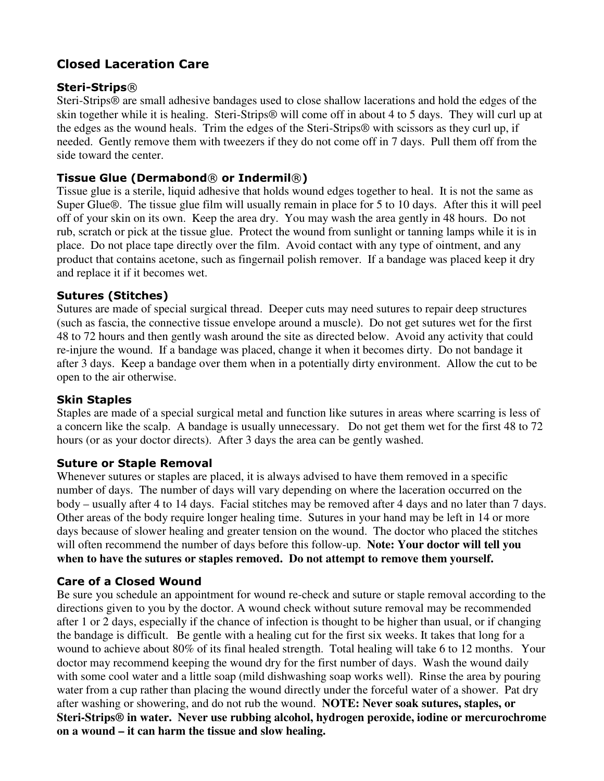# **Closed Laceration Care**

#### **Steri-Strips**®

Steri-Strips® are small adhesive bandages used to close shallow lacerations and hold the edges of the skin together while it is healing. Steri-Strips® will come off in about 4 to 5 days. They will curl up at the edges as the wound heals. Trim the edges of the Steri-Strips® with scissors as they curl up, if needed. Gently remove them with tweezers if they do not come off in 7 days. Pull them off from the side toward the center.

## **Tissue Glue (Dermabond**® **or Indermil**®**)**

Tissue glue is a sterile, liquid adhesive that holds wound edges together to heal. It is not the same as Super Glue®. The tissue glue film will usually remain in place for 5 to 10 days. After this it will peel off of your skin on its own. Keep the area dry. You may wash the area gently in 48 hours. Do not rub, scratch or pick at the tissue glue. Protect the wound from sunlight or tanning lamps while it is in place. Do not place tape directly over the film. Avoid contact with any type of ointment, and any product that contains acetone, such as fingernail polish remover. If a bandage was placed keep it dry and replace it if it becomes wet.

### **Sutures (Stitches)**

Sutures are made of special surgical thread. Deeper cuts may need sutures to repair deep structures (such as fascia, the connective tissue envelope around a muscle). Do not get sutures wet for the first 48 to 72 hours and then gently wash around the site as directed below. Avoid any activity that could re-injure the wound. If a bandage was placed, change it when it becomes dirty. Do not bandage it after 3 days. Keep a bandage over them when in a potentially dirty environment. Allow the cut to be open to the air otherwise.

#### **Skin Staples**

Staples are made of a special surgical metal and function like sutures in areas where scarring is less of a concern like the scalp. A bandage is usually unnecessary. Do not get them wet for the first 48 to 72 hours (or as your doctor directs). After 3 days the area can be gently washed.

#### **Suture or Staple Removal**

Whenever sutures or staples are placed, it is always advised to have them removed in a specific number of days. The number of days will vary depending on where the laceration occurred on the body – usually after 4 to 14 days. Facial stitches may be removed after 4 days and no later than 7 days. Other areas of the body require longer healing time. Sutures in your hand may be left in 14 or more days because of slower healing and greater tension on the wound. The doctor who placed the stitches will often recommend the number of days before this follow-up. **Note: Your doctor will tell you when to have the sutures or staples removed. Do not attempt to remove them yourself.**

#### **Care of a Closed Wound**

Be sure you schedule an appointment for wound re-check and suture or staple removal according to the directions given to you by the doctor. A wound check without suture removal may be recommended after 1 or 2 days, especially if the chance of infection is thought to be higher than usual, or if changing the bandage is difficult.Be gentle with a healing cut for the first six weeks. It takes that long for a wound to achieve about 80% of its final healed strength. Total healing will take 6 to 12 months.Your doctor may recommend keeping the wound dry for the first number of days. Wash the wound daily with some cool water and a little soap (mild dishwashing soap works well). Rinse the area by pouring water from a cup rather than placing the wound directly under the forceful water of a shower. Pat dry after washing or showering, and do not rub the wound. **NOTE: Never soak sutures, staples, or Steri-Strips® in water. Never use rubbing alcohol, hydrogen peroxide, iodine or mercurochrome on a wound – it can harm the tissue and slow healing.**